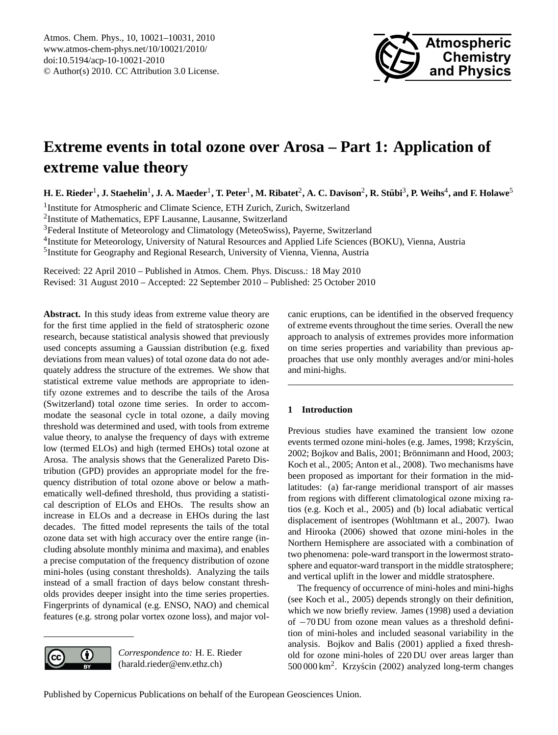

# <span id="page-0-0"></span>**Extreme events in total ozone over Arosa – Part 1: Application of extreme value theory**

**H. E. Rieder**<sup>1</sup> **, J. Staehelin**<sup>1</sup> **, J. A. Maeder**<sup>1</sup> **, T. Peter**<sup>1</sup> **, M. Ribatet**<sup>2</sup> **, A. C. Davison**<sup>2</sup> **, R. Stubi ¨** 3 **, P. Weihs**<sup>4</sup> **, and F. Holawe**<sup>5</sup>

<sup>1</sup> Institute for Atmospheric and Climate Science, ETH Zurich, Zurich, Switzerland

<sup>2</sup>Institute of Mathematics, EPF Lausanne, Lausanne, Switzerland

<sup>3</sup>Federal Institute of Meteorology and Climatology (MeteoSwiss), Payerne, Switzerland

<sup>4</sup>Institute for Meteorology, University of Natural Resources and Applied Life Sciences (BOKU), Vienna, Austria

<sup>5</sup>Institute for Geography and Regional Research, University of Vienna, Vienna, Austria

Received: 22 April 2010 – Published in Atmos. Chem. Phys. Discuss.: 18 May 2010 Revised: 31 August 2010 – Accepted: 22 September 2010 – Published: 25 October 2010

**Abstract.** In this study ideas from extreme value theory are for the first time applied in the field of stratospheric ozone research, because statistical analysis showed that previously used concepts assuming a Gaussian distribution (e.g. fixed deviations from mean values) of total ozone data do not adequately address the structure of the extremes. We show that statistical extreme value methods are appropriate to identify ozone extremes and to describe the tails of the Arosa (Switzerland) total ozone time series. In order to accommodate the seasonal cycle in total ozone, a daily moving threshold was determined and used, with tools from extreme value theory, to analyse the frequency of days with extreme low (termed ELOs) and high (termed EHOs) total ozone at Arosa. The analysis shows that the Generalized Pareto Distribution (GPD) provides an appropriate model for the frequency distribution of total ozone above or below a mathematically well-defined threshold, thus providing a statistical description of ELOs and EHOs. The results show an increase in ELOs and a decrease in EHOs during the last decades. The fitted model represents the tails of the total ozone data set with high accuracy over the entire range (including absolute monthly minima and maxima), and enables a precise computation of the frequency distribution of ozone mini-holes (using constant thresholds). Analyzing the tails instead of a small fraction of days below constant thresholds provides deeper insight into the time series properties. Fingerprints of dynamical (e.g. ENSO, NAO) and chemical features (e.g. strong polar vortex ozone loss), and major vol-



*Correspondence to:* H. E. Rieder (harald.rieder@env.ethz.ch)

canic eruptions, can be identified in the observed frequency of extreme events throughout the time series. Overall the new approach to analysis of extremes provides more information on time series properties and variability than previous approaches that use only monthly averages and/or mini-holes and mini-highs.

# **1 Introduction**

Previous studies have examined the transient low ozone events termed ozone mini-holes (e.g. James, 1998; Krzyscin, ´ 2002; Bojkov and Balis, 2001; Brönnimann and Hood, 2003; Koch et al., 2005; Anton et al., 2008). Two mechanisms have been proposed as important for their formation in the midlatitudes: (a) far-range meridional transport of air masses from regions with different climatological ozone mixing ratios (e.g. Koch et al., 2005) and (b) local adiabatic vertical displacement of isentropes (Wohltmann et al., 2007). Iwao and Hirooka (2006) showed that ozone mini-holes in the Northern Hemisphere are associated with a combination of two phenomena: pole-ward transport in the lowermost stratosphere and equator-ward transport in the middle stratosphere; and vertical uplift in the lower and middle stratosphere.

The frequency of occurrence of mini-holes and mini-highs (see Koch et al., 2005) depends strongly on their definition, which we now briefly review. James (1998) used a deviation of −70 DU from ozone mean values as a threshold definition of mini-holes and included seasonal variability in the analysis. Bojkov and Balis (2001) applied a fixed threshold for ozone mini-holes of 220 DU over areas larger than 500 000 km<sup>2</sup>. Krzyścin (2002) analyzed long-term changes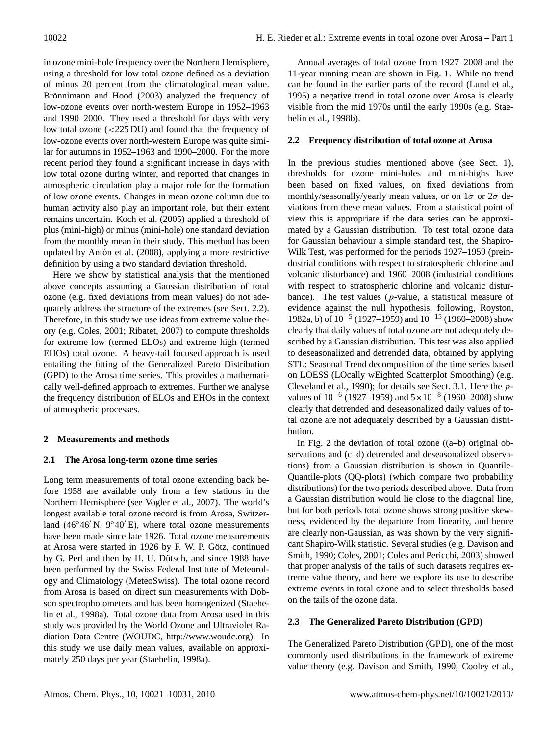in ozone mini-hole frequency over the Northern Hemisphere, using a threshold for low total ozone defined as a deviation of minus 20 percent from the climatological mean value. Brönnimann and Hood (2003) analyzed the frequency of low-ozone events over north-western Europe in 1952–1963 and 1990–2000. They used a threshold for days with very low total ozone (<225 DU) and found that the frequency of low-ozone events over north-western Europe was quite similar for autumns in 1952–1963 and 1990–2000. For the more recent period they found a significant increase in days with low total ozone during winter, and reported that changes in atmospheric circulation play a major role for the formation of low ozone events. Changes in mean ozone column due to human activity also play an important role, but their extent remains uncertain. Koch et al. (2005) applied a threshold of plus (mini-high) or minus (mini-hole) one standard deviation from the monthly mean in their study. This method has been updated by Antón et al. (2008), applying a more restrictive definition by using a two standard deviation threshold.

Here we show by statistical analysis that the mentioned above concepts assuming a Gaussian distribution of total ozone (e.g. fixed deviations from mean values) do not adequately address the structure of the extremes (see Sect. 2.2). Therefore, in this study we use ideas from extreme value theory (e.g. Coles, 2001; Ribatet, 2007) to compute thresholds for extreme low (termed ELOs) and extreme high (termed EHOs) total ozone. A heavy-tail focused approach is used entailing the fitting of the Generalized Pareto Distribution (GPD) to the Arosa time series. This provides a mathematically well-defined approach to extremes. Further we analyse the frequency distribution of ELOs and EHOs in the context of atmospheric processes.

#### **2 Measurements and methods**

#### **2.1 The Arosa long-term ozone time series**

Long term measurements of total ozone extending back before 1958 are available only from a few stations in the Northern Hemisphere (see Vogler et al., 2007). The world's longest available total ozone record is from Arosa, Switzerland  $(46°46' N, 9°40' E)$ , where total ozone measurements have been made since late 1926. Total ozone measurements at Arosa were started in 1926 by F. W. P. Götz, continued by G. Perl and then by H. U. Dütsch, and since 1988 have been performed by the Swiss Federal Institute of Meteorology and Climatology (MeteoSwiss). The total ozone record from Arosa is based on direct sun measurements with Dobson spectrophotometers and has been homogenized (Staehelin et al., 1998a). Total ozone data from Arosa used in this study was provided by the World Ozone and Ultraviolet Radiation Data Centre (WOUDC, [http://www.woudc.org\)](http://www.woudc.org). In this study we use daily mean values, available on approximately 250 days per year (Staehelin, 1998a).

Annual averages of total ozone from 1927–2008 and the 11-year running mean are shown in Fig. 1. While no trend can be found in the earlier parts of the record (Lund et al., 1995) a negative trend in total ozone over Arosa is clearly visible from the mid 1970s until the early 1990s (e.g. Staehelin et al., 1998b).

### **2.2 Frequency distribution of total ozone at Arosa**

In the previous studies mentioned above (see Sect. 1), thresholds for ozone mini-holes and mini-highs have been based on fixed values, on fixed deviations from monthly/seasonally/yearly mean values, or on  $1\sigma$  or  $2\sigma$  deviations from these mean values. From a statistical point of view this is appropriate if the data series can be approximated by a Gaussian distribution. To test total ozone data for Gaussian behaviour a simple standard test, the Shapiro-Wilk Test, was performed for the periods 1927–1959 (preindustrial conditions with respect to stratospheric chlorine and volcanic disturbance) and 1960–2008 (industrial conditions with respect to stratospheric chlorine and volcanic disturbance). The test values ( $p$ -value, a statistical measure of evidence against the null hypothesis, following, Royston, 1982a, b) of 10−<sup>5</sup> (1927–1959) and 10−<sup>15</sup> (1960–2008) show clearly that daily values of total ozone are not adequately described by a Gaussian distribution. This test was also applied to deseasonalized and detrended data, obtained by applying STL: Seasonal Trend decomposition of the time series based on LOESS (LOcally wEighted Scatterplot Smoothing) (e.g. Cleveland et al., 1990); for details see Sect. 3.1. Here the pvalues of 10<sup>-6</sup> (1927–1959) and 5×10<sup>-8</sup> (1960–2008) show clearly that detrended and deseasonalized daily values of total ozone are not adequately described by a Gaussian distribution.

In Fig. 2 the deviation of total ozone ((a–b) original observations and (c–d) detrended and deseasonalized observations) from a Gaussian distribution is shown in Quantile-Quantile-plots (QQ-plots) (which compare two probability distributions) for the two periods described above. Data from a Gaussian distribution would lie close to the diagonal line, but for both periods total ozone shows strong positive skewness, evidenced by the departure from linearity, and hence are clearly non-Gaussian, as was shown by the very significant Shapiro-Wilk statistic. Several studies (e.g. Davison and Smith, 1990; Coles, 2001; Coles and Pericchi, 2003) showed that proper analysis of the tails of such datasets requires extreme value theory, and here we explore its use to describe extreme events in total ozone and to select thresholds based on the tails of the ozone data.

## **2.3 The Generalized Pareto Distribution (GPD)**

The Generalized Pareto Distribution (GPD), one of the most commonly used distributions in the framework of extreme value theory (e.g. Davison and Smith, 1990; Cooley et al.,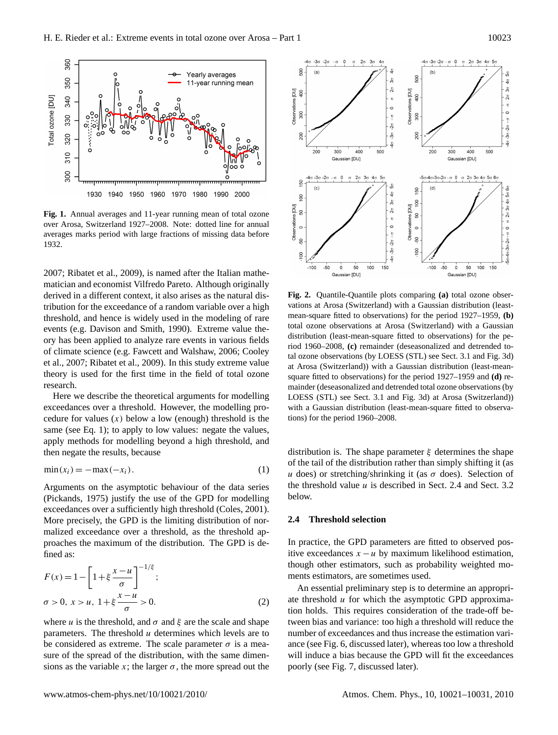

**Fig. 1.** Annual averages and 11-year running mean of total ozone over Arosa, Switzerland 1927–2008. Note: dotted line for annual averages marks period with large fractions of missing data before 1932.

2007; Ribatet et al., 2009), is named after the Italian mathematician and economist Vilfredo Pareto. Although originally derived in a different context, it also arises as the natural distribution for the exceedance of a random variable over a high threshold, and hence is widely used in the modeling of rare events (e.g. Davison and Smith, 1990). Extreme value theory has been applied to analyze rare events in various fields of climate science (e.g. Fawcett and Walshaw, 2006; Cooley et al., 2007; Ribatet et al., 2009). In this study extreme value theory is used for the first time in the field of total ozone research.

Here we describe the theoretical arguments for modelling exceedances over a threshold. However, the modelling procedure for values  $(x)$  below a low (enough) threshold is the same (see Eq. 1); to apply to low values: negate the values, apply methods for modelling beyond a high threshold, and then negate the results, because

$$
\min(x_i) = -\max(-x_i). \tag{1}
$$

Arguments on the asymptotic behaviour of the data series (Pickands, 1975) justify the use of the GPD for modelling exceedances over a sufficiently high threshold (Coles, 2001). More precisely, the GPD is the limiting distribution of normalized exceedance over a threshold, as the threshold approaches the maximum of the distribution. The GPD is defined as:

$$
F(x) = 1 - \left[1 + \xi \frac{x - u}{\sigma}\right]^{-1/\xi};
$$
  
\n
$$
\sigma > 0, x > u, 1 + \xi \frac{x - u}{\sigma} > 0.
$$
 (2)

where u is the threshold, and  $\sigma$  and  $\xi$  are the scale and shape parameters. The threshold  $u$  determines which levels are to be considered as extreme. The scale parameter  $\sigma$  is a measure of the spread of the distribution, with the same dimensions as the variable x; the larger  $\sigma$ , the more spread out the



**Fig. 2.** Quantile-Quantile plots comparing **(a)** total ozone observations at Arosa (Switzerland) with a Gaussian distribution (leastmean-square fitted to observations) for the period 1927–1959, **(b)** total ozone observations at Arosa (Switzerland) with a Gaussian distribution (least-mean-square fitted to observations) for the period 1960–2008, **(c)** remainder (deseasonalized and detrended total ozone observations (by LOESS (STL) see Sect. 3.1 and Fig. 3d) at Arosa (Switzerland)) with a Gaussian distribution (least-meansquare fitted to observations) for the period 1927–1959 and **(d)** remainder (deseasonalized and detrended total ozone observations (by LOESS (STL) see Sect. 3.1 and Fig. 3d) at Arosa (Switzerland)) with a Gaussian distribution (least-mean-square fitted to observations) for the period 1960–2008.

distribution is. The shape parameter  $\xi$  determines the shape of the tail of the distribution rather than simply shifting it (as u does) or stretching/shrinking it (as  $\sigma$  does). Selection of the threshold value  $u$  is described in Sect. 2.4 and Sect. 3.2 below.

## **2.4 Threshold selection**

In practice, the GPD parameters are fitted to observed positive exceedances  $x - u$  by maximum likelihood estimation, though other estimators, such as probability weighted moments estimators, are sometimes used.

An essential preliminary step is to determine an appropriate threshold  $u$  for which the asymptotic GPD approximation holds. This requires consideration of the trade-off between bias and variance: too high a threshold will reduce the number of exceedances and thus increase the estimation variance (see Fig. 6, discussed later), whereas too low a threshold will induce a bias because the GPD will fit the exceedances poorly (see Fig. 7, discussed later).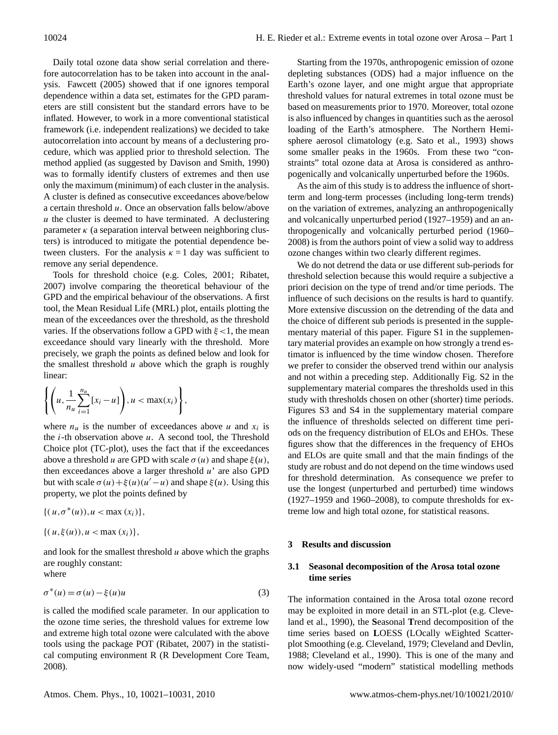Daily total ozone data show serial correlation and therefore autocorrelation has to be taken into account in the analysis. Fawcett (2005) showed that if one ignores temporal dependence within a data set, estimates for the GPD parameters are still consistent but the standard errors have to be inflated. However, to work in a more conventional statistical framework (i.e. independent realizations) we decided to take autocorrelation into account by means of a declustering procedure, which was applied prior to threshold selection. The method applied (as suggested by Davison and Smith, 1990) was to formally identify clusters of extremes and then use only the maximum (minimum) of each cluster in the analysis. A cluster is defined as consecutive exceedances above/below a certain threshold  $u$ . Once an observation falls below/above  $u$  the cluster is deemed to have terminated. A declustering parameter  $\kappa$  (a separation interval between neighboring clusters) is introduced to mitigate the potential dependence between clusters. For the analysis  $\kappa = 1$  day was sufficient to remove any serial dependence.

Tools for threshold choice (e.g. Coles, 2001; Ribatet, 2007) involve comparing the theoretical behaviour of the GPD and the empirical behaviour of the observations. A first tool, the Mean Residual Life (MRL) plot, entails plotting the mean of the exceedances over the threshold, as the threshold varies. If the observations follow a GPD with  $\xi$  < 1, the mean exceedance should vary linearly with the threshold. More precisely, we graph the points as defined below and look for the smallest threshold  $u$  above which the graph is roughly linear:

$$
\left\{ \left(u, \frac{1}{n_u} \sum_{i=1}^{n_u} [x_i - u] \right), u < \max(x_i) \right\},\
$$

where  $n_u$  is the number of exceedances above u and  $x_i$  is the  $i$ -th observation above  $u$ . A second tool, the Threshold Choice plot (TC-plot), uses the fact that if the exceedances above a threshold u are GPD with scale  $\sigma(u)$  and shape  $\xi(u)$ , then exceedances above a larger threshold  $u'$  are also GPD but with scale  $\sigma(u)+\xi(u)(u'-u)$  and shape  $\xi(u)$ . Using this property, we plot the points defined by

- $\{(u, \sigma^*(u)), u < \max(x_i)\},\$
- $\{(u,\xi(u)), u < \max(x_i)\},\$

and look for the smallest threshold  $u$  above which the graphs are roughly constant:

where

$$
\sigma^*(u) = \sigma(u) - \xi(u)u \tag{3}
$$

is called the modified scale parameter. In our application to the ozone time series, the threshold values for extreme low and extreme high total ozone were calculated with the above tools using the package POT (Ribatet, 2007) in the statistical computing environment R (R Development Core Team, 2008).

Starting from the 1970s, anthropogenic emission of ozone depleting substances (ODS) had a major influence on the Earth's ozone layer, and one might argue that appropriate threshold values for natural extremes in total ozone must be based on measurements prior to 1970. Moreover, total ozone is also influenced by changes in quantities such as the aerosol loading of the Earth's atmosphere. The Northern Hemisphere aerosol climatology (e.g. Sato et al., 1993) shows some smaller peaks in the 1960s. From these two "constraints" total ozone data at Arosa is considered as anthropogenically and volcanically unperturbed before the 1960s.

As the aim of this study is to address the influence of shortterm and long-term processes (including long-term trends) on the variation of extremes, analyzing an anthropogenically and volcanically unperturbed period (1927–1959) and an anthropogenically and volcanically perturbed period (1960– 2008) is from the authors point of view a solid way to address ozone changes within two clearly different regimes.

We do not detrend the data or use different sub-periods for threshold selection because this would require a subjective a priori decision on the type of trend and/or time periods. The influence of such decisions on the results is hard to quantify. More extensive discussion on the detrending of the data and the choice of different sub periods is presented in the supplementary material of this paper. Figure S1 in the supplementary material provides an example on how strongly a trend estimator is influenced by the time window chosen. Therefore we prefer to consider the observed trend within our analysis and not within a preceding step. Additionally Fig. S2 in the supplementary material compares the thresholds used in this study with thresholds chosen on other (shorter) time periods. Figures S3 and S4 in the supplementary material compare the influence of thresholds selected on different time periods on the frequency distribution of ELOs and EHOs. These figures show that the differences in the frequency of EHOs and ELOs are quite small and that the main findings of the study are robust and do not depend on the time windows used for threshold determination. As consequence we prefer to use the longest (unperturbed and perturbed) time windows (1927–1959 and 1960–2008), to compute thresholds for extreme low and high total ozone, for statistical reasons.

## **3 Results and discussion**

# **3.1 Seasonal decomposition of the Arosa total ozone time series**

The information contained in the Arosa total ozone record may be exploited in more detail in an STL-plot (e.g. Cleveland et al., 1990), the **S**easonal **T**rend decomposition of the time series based on **L**OESS (LOcally wEighted Scatterplot Smoothing (e.g. Cleveland, 1979; Cleveland and Devlin, 1988; Cleveland et al., 1990). This is one of the many and now widely-used "modern" statistical modelling methods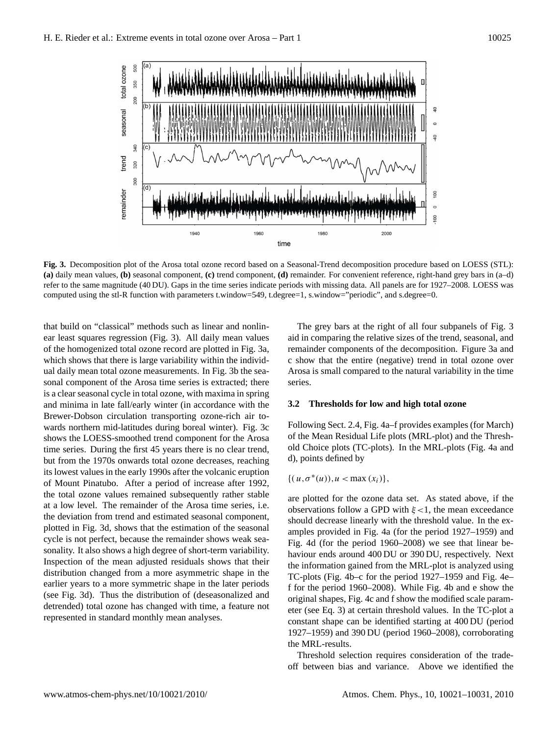

**Fig. 3.** Decomposition plot of the Arosa total ozone record based on a Seasonal-Trend decomposition procedure based on LOESS (STL): **(a)** daily mean values, **(b)** seasonal component, **(c)** trend component, **(d)** remainder. For convenient reference, right-hand grey bars in (a–d) refer to the same magnitude (40 DU). Gaps in the time series indicate periods with missing data. All panels are for 1927–2008. LOESS was computed using the stl-R function with parameters t.window=549, t.degree=1, s.window="periodic", and s.degree=0.

that build on "classical" methods such as linear and nonlinear least squares regression (Fig. 3). All daily mean values of the homogenized total ozone record are plotted in Fig. 3a, which shows that there is large variability within the individual daily mean total ozone measurements. In Fig. 3b the seasonal component of the Arosa time series is extracted; there is a clear seasonal cycle in total ozone, with maxima in spring and minima in late fall/early winter (in accordance with the Brewer-Dobson circulation transporting ozone-rich air towards northern mid-latitudes during boreal winter). Fig. 3c shows the LOESS-smoothed trend component for the Arosa time series. During the first 45 years there is no clear trend, but from the 1970s onwards total ozone decreases, reaching its lowest values in the early 1990s after the volcanic eruption of Mount Pinatubo. After a period of increase after 1992, the total ozone values remained subsequently rather stable at a low level. The remainder of the Arosa time series, i.e. the deviation from trend and estimated seasonal component, plotted in Fig. 3d, shows that the estimation of the seasonal cycle is not perfect, because the remainder shows weak seasonality. It also shows a high degree of short-term variability. Inspection of the mean adjusted residuals shows that their distribution changed from a more asymmetric shape in the earlier years to a more symmetric shape in the later periods (see Fig. 3d). Thus the distribution of (deseasonalized and detrended) total ozone has changed with time, a feature not represented in standard monthly mean analyses.

The grey bars at the right of all four subpanels of Fig. 3 aid in comparing the relative sizes of the trend, seasonal, and remainder components of the decomposition. Figure 3a and c show that the entire (negative) trend in total ozone over Arosa is small compared to the natural variability in the time series.

## **3.2 Thresholds for low and high total ozone**

Following Sect. 2.4, Fig. 4a–f provides examples (for March) of the Mean Residual Life plots (MRL-plot) and the Threshold Choice plots (TC-plots). In the MRL-plots (Fig. 4a and d), points defined by

$$
\{(u,\sigma^*(u)),u<\max(x_i)\},\
$$

are plotted for the ozone data set. As stated above, if the observations follow a GPD with  $\xi$  < 1, the mean exceedance should decrease linearly with the threshold value. In the examples provided in Fig. 4a (for the period 1927–1959) and Fig. 4d (for the period 1960–2008) we see that linear behaviour ends around 400 DU or 390 DU, respectively. Next the information gained from the MRL-plot is analyzed using TC-plots (Fig. 4b–c for the period 1927–1959 and Fig. 4e– f for the period 1960–2008). While Fig. 4b and e show the original shapes, Fig. 4c and f show the modified scale parameter (see Eq. 3) at certain threshold values. In the TC-plot a constant shape can be identified starting at 400 DU (period 1927–1959) and 390 DU (period 1960–2008), corroborating the MRL-results.

Threshold selection requires consideration of the tradeoff between bias and variance. Above we identified the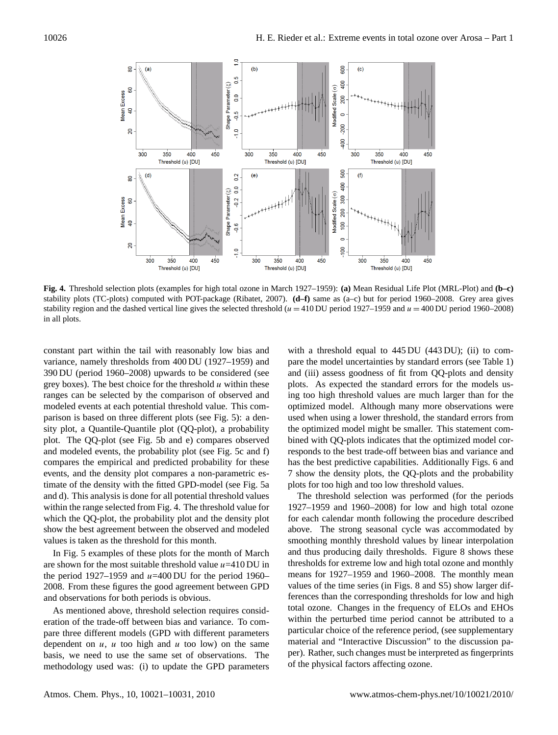

**Fig. 4.** Threshold selection plots (examples for high total ozone in March 1927–1959): **(a)** Mean Residual Life Plot (MRL-Plot) and **(b–c)** stability plots (TC-plots) computed with POT-package (Ribatet, 2007). **(d–f)** same as (a–c) but for period 1960–2008. Grey area gives stability region and the dashed vertical line gives the selected threshold ( $u = 410$  DU period 1927–1959 and  $u = 400$  DU period 1960–2008) in all plots.

constant part within the tail with reasonably low bias and variance, namely thresholds from 400 DU (1927–1959) and 390 DU (period 1960–2008) upwards to be considered (see grey boxes). The best choice for the threshold  $u$  within these ranges can be selected by the comparison of observed and modeled events at each potential threshold value. This comparison is based on three different plots (see Fig. 5): a density plot, a Quantile-Quantile plot (QQ-plot), a probability plot. The QQ-plot (see Fig. 5b and e) compares observed and modeled events, the probability plot (see Fig. 5c and f) compares the empirical and predicted probability for these events, and the density plot compares a non-parametric estimate of the density with the fitted GPD-model (see Fig. 5a and d). This analysis is done for all potential threshold values within the range selected from Fig. 4. The threshold value for which the QQ-plot, the probability plot and the density plot show the best agreement between the observed and modeled values is taken as the threshold for this month.

In Fig. 5 examples of these plots for the month of March are shown for the most suitable threshold value  $u=410$  DU in the period 1927–1959 and  $u=400$  DU for the period 1960– 2008. From these figures the good agreement between GPD and observations for both periods is obvious.

As mentioned above, threshold selection requires consideration of the trade-off between bias and variance. To compare three different models (GPD with different parameters dependent on  $u$ ,  $u$  too high and  $u$  too low) on the same basis, we need to use the same set of observations. The methodology used was: (i) to update the GPD parameters with a threshold equal to 445 DU (443 DU); (ii) to compare the model uncertainties by standard errors (see Table 1) and (iii) assess goodness of fit from QQ-plots and density plots. As expected the standard errors for the models using too high threshold values are much larger than for the optimized model. Although many more observations were used when using a lower threshold, the standard errors from the optimized model might be smaller. This statement combined with QQ-plots indicates that the optimized model corresponds to the best trade-off between bias and variance and has the best predictive capabilities. Additionally Figs. 6 and 7 show the density plots, the QQ-plots and the probability plots for too high and too low threshold values.

The threshold selection was performed (for the periods 1927–1959 and 1960–2008) for low and high total ozone for each calendar month following the procedure described above. The strong seasonal cycle was accommodated by smoothing monthly threshold values by linear interpolation and thus producing daily thresholds. Figure 8 shows these thresholds for extreme low and high total ozone and monthly means for 1927–1959 and 1960–2008. The monthly mean values of the time series (in Figs. 8 and S5) show larger differences than the corresponding thresholds for low and high total ozone. Changes in the frequency of ELOs and EHOs within the perturbed time period cannot be attributed to a particular choice of the reference period, (see supplementary material and "Interactive Discussion" to the discussion paper). Rather, such changes must be interpreted as fingerprints of the physical factors affecting ozone.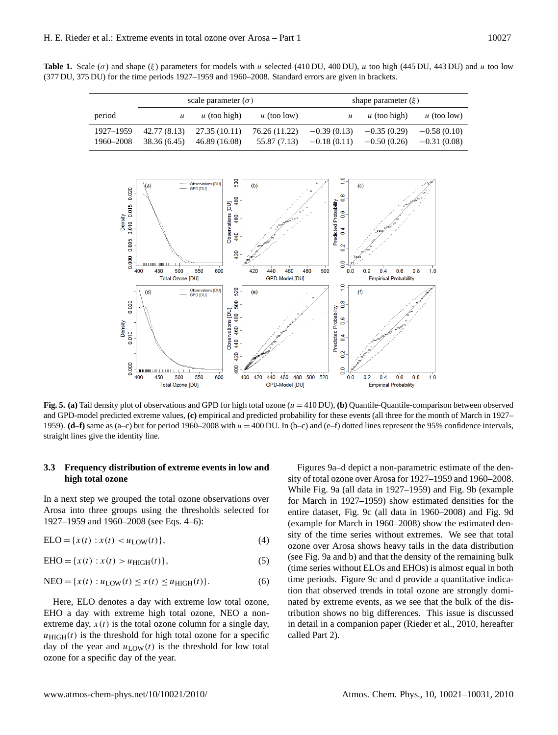|           |              | scale parameter $(\sigma)$ |               | shape parameter $(\xi)$ |                |               |
|-----------|--------------|----------------------------|---------------|-------------------------|----------------|---------------|
| period    | u            | $u$ (too high)             | $u$ (too low) | $\boldsymbol{u}$        | $u$ (too high) | $u$ (too low) |
| 1927–1959 | 42.77 (8.13) | 27.35(10.11)               | 76.26 (11.22) | $-0.39(0.13)$           | $-0.35(0.29)$  | $-0.58(0.10)$ |
| 1960–2008 | 38.36 (6.45) | 46.89 (16.08)              | 55.87 (7.13)  | $-0.18(0.11)$           | $-0.50(0.26)$  | $-0.31(0.08)$ |
|           |              |                            |               |                         |                |               |
|           |              |                            |               |                         |                |               |



**Fig. 5. (a)** Tail density plot of observations and GPD for high total ozone (u = 410 DU), **(b)** Quantile-Quantile-comparison between observed and GPD-model predicted extreme values, **(c)** empirical and predicted probability for these events (all three for the month of March in 1927– 1959). **(d–f)** same as (a–c) but for period 1960–2008 with  $u = 400$  DU. In (b–c) and (e–f) dotted lines represent the 95% confidence intervals, straight lines give the identity line.

## **3.3 Frequency distribution of extreme events in low and high total ozone**

In a next step we grouped the total ozone observations over Arosa into three groups using the thresholds selected for 1927–1959 and 1960–2008 (see Eqs. 4–6):

$$
ELO = \{x(t) : x(t) < u_{LOW}(t)\},\tag{4}
$$

$$
EHO = \{x(t) : x(t) > u_{\text{HIGH}}(t)\},\tag{5}
$$

$$
NEO = \{x(t) : u_{LOW}(t) \le x(t) \le u_{HIGH}(t)\}.
$$
 (6)

Here, ELO denotes a day with extreme low total ozone, EHO a day with extreme high total ozone, NEO a nonextreme day,  $x(t)$  is the total ozone column for a single day,  $u_{\text{HIGH}}(t)$  is the threshold for high total ozone for a specific day of the year and  $u_{\text{LOW}}(t)$  is the threshold for low total ozone for a specific day of the year.

Figures 9a–d depict a non-parametric estimate of the density of total ozone over Arosa for 1927–1959 and 1960–2008. While Fig. 9a (all data in 1927–1959) and Fig. 9b (example for March in 1927–1959) show estimated densities for the entire dataset, Fig. 9c (all data in 1960–2008) and Fig. 9d (example for March in 1960–2008) show the estimated density of the time series without extremes. We see that total ozone over Arosa shows heavy tails in the data distribution (see Fig. 9a and b) and that the density of the remaining bulk (time series without ELOs and EHOs) is almost equal in both time periods. Figure 9c and d provide a quantitative indication that observed trends in total ozone are strongly dominated by extreme events, as we see that the bulk of the distribution shows no big differences. This issue is discussed in detail in a companion paper (Rieder et al., 2010, hereafter called Part 2).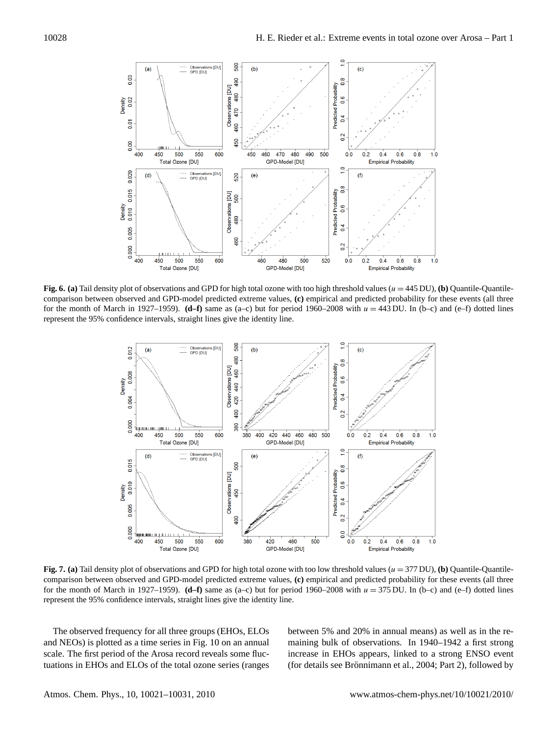

**Fig. 6. (a)** Tail density plot of observations and GPD for high total ozone with too high threshold values (u = 445 DU), **(b)** Quantile-Quantilecomparison between observed and GPD-model predicted extreme values, **(c)** empirical and predicted probability for these events (all three for the month of March in 1927–1959). **(d–f)** same as (a–c) but for period 1960–2008 with  $u = 443$  DU. In (b–c) and (e–f) dotted lines represent the 95% confidence intervals, straight lines give the identity line.



**Fig. 7. (a)** Tail density plot of observations and GPD for high total ozone with too low threshold values (u = 377 DU), **(b)** Quantile-Quantilecomparison between observed and GPD-model predicted extreme values, **(c)** empirical and predicted probability for these events (all three for the month of March in 1927–1959). **(d–f)** same as (a–c) but for period 1960–2008 with  $u = 375$  DU. In (b–c) and (e–f) dotted lines represent the 95% confidence intervals, straight lines give the identity line.

The observed frequency for all three groups (EHOs, ELOs and NEOs) is plotted as a time series in Fig. 10 on an annual scale. The first period of the Arosa record reveals some fluctuations in EHOs and ELOs of the total ozone series (ranges between 5% and 20% in annual means) as well as in the remaining bulk of observations. In 1940–1942 a first strong increase in EHOs appears, linked to a strong ENSO event (for details see Brönnimann et al., 2004; Part 2), followed by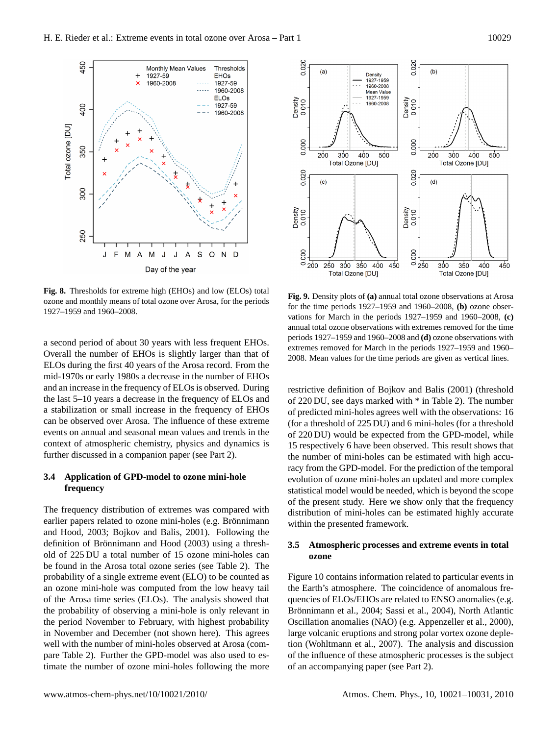

**Fig. 8.** Thresholds for extreme high (EHOs) and low (ELOs) total ozone and monthly means of total ozone over Arosa, for the periods 1927–1959 and 1960–2008.

a second period of about 30 years with less frequent EHOs. Overall the number of EHOs is slightly larger than that of ELOs during the first 40 years of the Arosa record. From the mid-1970s or early 1980s a decrease in the number of EHOs and an increase in the frequency of ELOs is observed. During the last 5–10 years a decrease in the frequency of ELOs and a stabilization or small increase in the frequency of EHOs can be observed over Arosa. The influence of these extreme events on annual and seasonal mean values and trends in the context of atmospheric chemistry, physics and dynamics is further discussed in a companion paper (see Part 2).

## **3.4 Application of GPD-model to ozone mini-hole frequency**

The frequency distribution of extremes was compared with earlier papers related to ozone mini-holes (e.g. Brönnimann and Hood, 2003; Bojkov and Balis, 2001). Following the definition of Brönnimann and Hood (2003) using a threshold of 225 DU a total number of 15 ozone mini-holes can be found in the Arosa total ozone series (see Table 2). The probability of a single extreme event (ELO) to be counted as an ozone mini-hole was computed from the low heavy tail of the Arosa time series (ELOs). The analysis showed that the probability of observing a mini-hole is only relevant in the period November to February, with highest probability in November and December (not shown here). This agrees well with the number of mini-holes observed at Arosa (compare Table 2). Further the GPD-model was also used to estimate the number of ozone mini-holes following the more



**Fig. 9.** Density plots of **(a)** annual total ozone observations at Arosa for the time periods 1927–1959 and 1960–2008, **(b)** ozone observations for March in the periods 1927–1959 and 1960–2008, **(c)** annual total ozone observations with extremes removed for the time periods 1927–1959 and 1960–2008 and **(d)** ozone observations with extremes removed for March in the periods 1927–1959 and 1960– 2008. Mean values for the time periods are given as vertical lines.

restrictive definition of Bojkov and Balis (2001) (threshold of 220 DU, see days marked with \* in Table 2). The number of predicted mini-holes agrees well with the observations: 16 (for a threshold of 225 DU) and 6 mini-holes (for a threshold of 220 DU) would be expected from the GPD-model, while 15 respectively 6 have been observed. This result shows that the number of mini-holes can be estimated with high accuracy from the GPD-model. For the prediction of the temporal evolution of ozone mini-holes an updated and more complex statistical model would be needed, which is beyond the scope of the present study. Here we show only that the frequency distribution of mini-holes can be estimated highly accurate within the presented framework.

## **3.5 Atmospheric processes and extreme events in total ozone**

Figure 10 contains information related to particular events in the Earth's atmosphere. The coincidence of anomalous frequencies of ELOs/EHOs are related to ENSO anomalies (e.g. Brönnimann et al., 2004; Sassi et al., 2004), North Atlantic Oscillation anomalies (NAO) (e.g. Appenzeller et al., 2000), large volcanic eruptions and strong polar vortex ozone depletion (Wohltmann et al., 2007). The analysis and discussion of the influence of these atmospheric processes is the subject of an accompanying paper (see Part 2).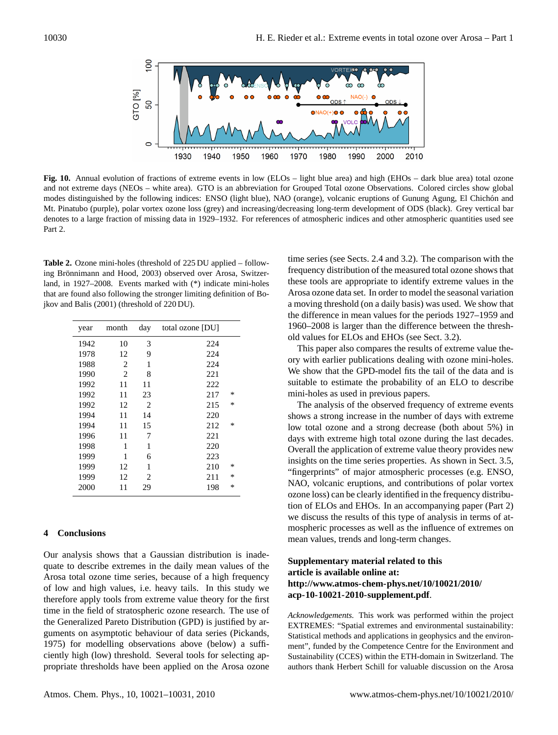

**Fig. 10.** Annual evolution of fractions of extreme events in low (ELOs – light blue area) and high (EHOs – dark blue area) total ozone and not extreme days (NEOs – white area). GTO is an abbreviation for Grouped Total ozone Observations. Colored circles show global modes distinguished by the following indices: ENSO (light blue), NAO (orange), volcanic eruptions of Gunung Agung, El Chichón and Mt. Pinatubo (purple), polar vortex ozone loss (grey) and increasing/decreasing long-term development of ODS (black). Grey vertical bar denotes to a large fraction of missing data in 1929–1932. For references of atmospheric indices and other atmospheric quantities used see Part 2.

**Table 2.** Ozone mini-holes (threshold of 225 DU applied – following Brönnimann and Hood, 2003) observed over Arosa, Switzerland, in 1927–2008. Events marked with (\*) indicate mini-holes that are found also following the stronger limiting definition of Bojkov and Balis (2001) (threshold of 220 DU).

| year | month | day                         | total ozone [DU] |   |
|------|-------|-----------------------------|------------------|---|
| 1942 | 10    | 3                           | 224              |   |
| 1978 | 12    | 9                           | 224              |   |
| 1988 | 2     | 1                           | 224              |   |
| 1990 | 2     | 8                           | 221              |   |
| 1992 | 11    | 11                          | 222              |   |
| 1992 | 11    | 23                          | 217              | ∗ |
| 1992 | 12    | $\mathcal{D}_{\mathcal{L}}$ | 215              | ∗ |
| 1994 | 11    | 14                          | 220              |   |
| 1994 | 11    | 15                          | 212              | ∗ |
| 1996 | 11    | 7                           | 221              |   |
| 1998 | 1     | 1                           | 220              |   |
| 1999 | 1     | 6                           | 223              |   |
| 1999 | 12    | 1                           | 210              | ∗ |
| 1999 | 12    | 2                           | 211              | ∗ |
| 2000 | 11    | 29                          | 198              | ∗ |

## **4 Conclusions**

Our analysis shows that a Gaussian distribution is inadequate to describe extremes in the daily mean values of the Arosa total ozone time series, because of a high frequency of low and high values, i.e. heavy tails. In this study we therefore apply tools from extreme value theory for the first time in the field of stratospheric ozone research. The use of the Generalized Pareto Distribution (GPD) is justified by arguments on asymptotic behaviour of data series (Pickands, 1975) for modelling observations above (below) a sufficiently high (low) threshold. Several tools for selecting appropriate thresholds have been applied on the Arosa ozone time series (see Sects. 2.4 and 3.2). The comparison with the frequency distribution of the measured total ozone shows that these tools are appropriate to identify extreme values in the Arosa ozone data set. In order to model the seasonal variation a moving threshold (on a daily basis) was used. We show that the difference in mean values for the periods 1927–1959 and 1960–2008 is larger than the difference between the threshold values for ELOs and EHOs (see Sect. 3.2).

This paper also compares the results of extreme value theory with earlier publications dealing with ozone mini-holes. We show that the GPD-model fits the tail of the data and is suitable to estimate the probability of an ELO to describe mini-holes as used in previous papers.

The analysis of the observed frequency of extreme events shows a strong increase in the number of days with extreme low total ozone and a strong decrease (both about 5%) in days with extreme high total ozone during the last decades. Overall the application of extreme value theory provides new insights on the time series properties. As shown in Sect. 3.5, "fingerprints" of major atmospheric processes (e.g. ENSO, NAO, volcanic eruptions, and contributions of polar vortex ozone loss) can be clearly identified in the frequency distribution of ELOs and EHOs. In an accompanying paper (Part 2) we discuss the results of this type of analysis in terms of atmospheric processes as well as the influence of extremes on mean values, trends and long-term changes.

# **Supplementary material related to this article is available online at: [http://www.atmos-chem-phys.net/10/10021/2010/](http://www.atmos-chem-phys.net/10/10021/2010/acp-10-10021-2010-supplement.pdf) [acp-10-10021-2010-supplement.pdf](http://www.atmos-chem-phys.net/10/10021/2010/acp-10-10021-2010-supplement.pdf)**.

*Acknowledgements.* This work was performed within the project EXTREMES: "Spatial extremes and environmental sustainability: Statistical methods and applications in geophysics and the environment", funded by the Competence Centre for the Environment and Sustainability (CCES) within the ETH-domain in Switzerland. The authors thank Herbert Schill for valuable discussion on the Arosa